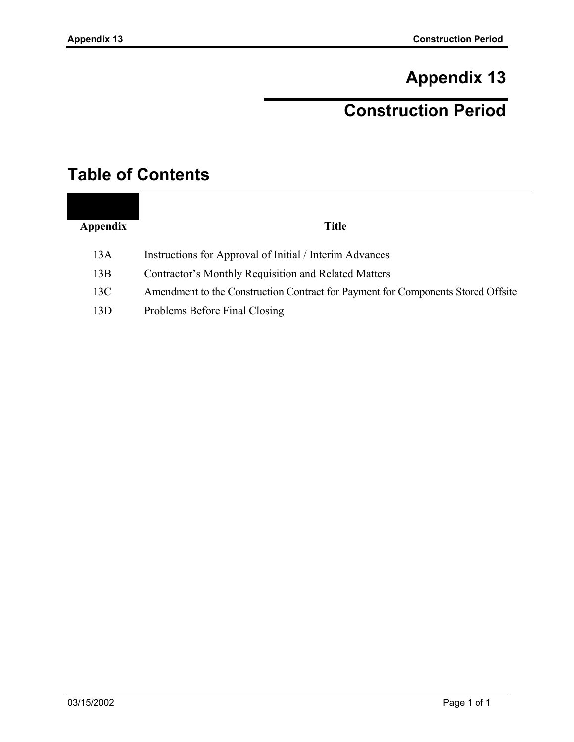# **Appendix 13**

# **Construction Period**

## **Table of Contents**

|          | <b>Title</b> |
|----------|--------------|
| Appendix |              |

- 13A Instructions for Approval of Initial / Interim Advances
- 13B Contractor's Monthly Requisition and Related Matters
- 13C Amendment to the Construction Contract for Payment for Components Stored Offsite
- 13D Problems Before Final Closing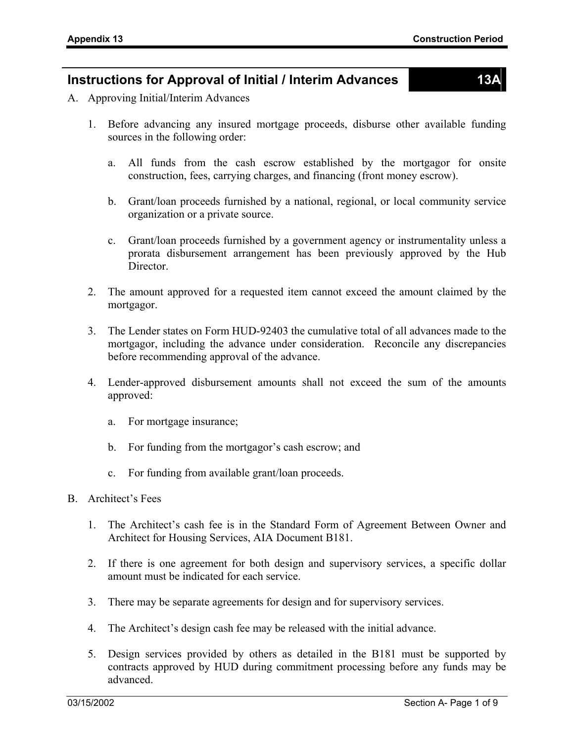#### **Instructions for Approval of Initial / Interim Advances 13A**

- A. Approving Initial/Interim Advances
	- 1. Before advancing any insured mortgage proceeds, disburse other available funding sources in the following order:
		- a. All funds from the cash escrow established by the mortgagor for onsite construction, fees, carrying charges, and financing (front money escrow).
		- b. Grant/loan proceeds furnished by a national, regional, or local community service organization or a private source.
		- c. Grant/loan proceeds furnished by a government agency or instrumentality unless a prorata disbursement arrangement has been previously approved by the Hub Director.
	- 2. The amount approved for a requested item cannot exceed the amount claimed by the mortgagor.
	- 3. The Lender states on Form HUD-92403 the cumulative total of all advances made to the mortgagor, including the advance under consideration. Reconcile any discrepancies before recommending approval of the advance.
	- 4. Lender-approved disbursement amounts shall not exceed the sum of the amounts approved:
		- a. For mortgage insurance;
		- b. For funding from the mortgagor's cash escrow; and
		- c. For funding from available grant/loan proceeds.
- B. Architect's Fees
	- 1. The Architect's cash fee is in the Standard Form of Agreement Between Owner and Architect for Housing Services, AIA Document B181.
	- 2. If there is one agreement for both design and supervisory services, a specific dollar amount must be indicated for each service.
	- 3. There may be separate agreements for design and for supervisory services.
	- 4. The Architect's design cash fee may be released with the initial advance.
	- 5. Design services provided by others as detailed in the B181 must be supported by contracts approved by HUD during commitment processing before any funds may be advanced.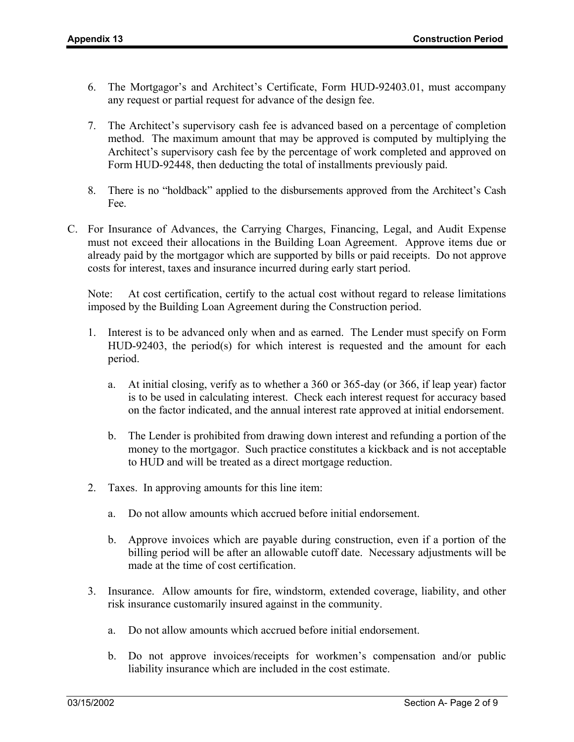- 6. The Mortgagor's and Architect's Certificate, Form HUD-92403.01, must accompany any request or partial request for advance of the design fee.
- 7. The Architect's supervisory cash fee is advanced based on a percentage of completion method. The maximum amount that may be approved is computed by multiplying the Architect's supervisory cash fee by the percentage of work completed and approved on Form HUD-92448, then deducting the total of installments previously paid.
- 8. There is no "holdback" applied to the disbursements approved from the Architect's Cash Fee.
- C. For Insurance of Advances, the Carrying Charges, Financing, Legal, and Audit Expense must not exceed their allocations in the Building Loan Agreement. Approve items due or already paid by the mortgagor which are supported by bills or paid receipts. Do not approve costs for interest, taxes and insurance incurred during early start period.

Note: At cost certification, certify to the actual cost without regard to release limitations imposed by the Building Loan Agreement during the Construction period.

- 1. Interest is to be advanced only when and as earned. The Lender must specify on Form HUD-92403, the period(s) for which interest is requested and the amount for each period.
	- a. At initial closing, verify as to whether a 360 or 365-day (or 366, if leap year) factor is to be used in calculating interest. Check each interest request for accuracy based on the factor indicated, and the annual interest rate approved at initial endorsement.
	- b. The Lender is prohibited from drawing down interest and refunding a portion of the money to the mortgagor. Such practice constitutes a kickback and is not acceptable to HUD and will be treated as a direct mortgage reduction.
- 2. Taxes. In approving amounts for this line item:
	- a. Do not allow amounts which accrued before initial endorsement.
	- b. Approve invoices which are payable during construction, even if a portion of the billing period will be after an allowable cutoff date. Necessary adjustments will be made at the time of cost certification.
- 3. Insurance. Allow amounts for fire, windstorm, extended coverage, liability, and other risk insurance customarily insured against in the community.
	- a. Do not allow amounts which accrued before initial endorsement.
	- b. Do not approve invoices/receipts for workmen's compensation and/or public liability insurance which are included in the cost estimate.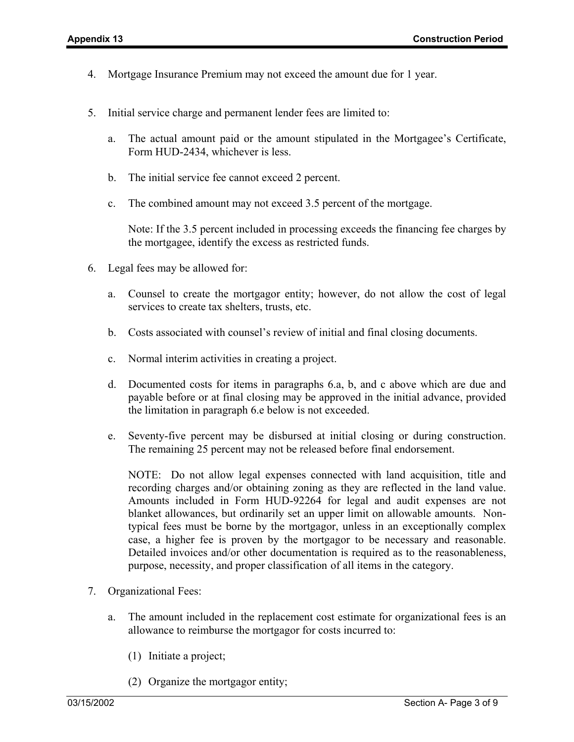- 4. Mortgage Insurance Premium may not exceed the amount due for 1 year.
- 5. Initial service charge and permanent lender fees are limited to:
	- a. The actual amount paid or the amount stipulated in the Mortgagee's Certificate, Form HUD-2434, whichever is less.
	- b. The initial service fee cannot exceed 2 percent.
	- c. The combined amount may not exceed 3.5 percent of the mortgage.

Note: If the 3.5 percent included in processing exceeds the financing fee charges by the mortgagee, identify the excess as restricted funds.

- 6. Legal fees may be allowed for:
	- a. Counsel to create the mortgagor entity; however, do not allow the cost of legal services to create tax shelters, trusts, etc.
	- b. Costs associated with counsel's review of initial and final closing documents.
	- c. Normal interim activities in creating a project.
	- d. Documented costs for items in paragraphs 6.a, b, and c above which are due and payable before or at final closing may be approved in the initial advance, provided the limitation in paragraph 6.e below is not exceeded.
	- e. Seventy-five percent may be disbursed at initial closing or during construction. The remaining 25 percent may not be released before final endorsement.

NOTE: Do not allow legal expenses connected with land acquisition, title and recording charges and/or obtaining zoning as they are reflected in the land value. Amounts included in Form HUD-92264 for legal and audit expenses are not blanket allowances, but ordinarily set an upper limit on allowable amounts. Nontypical fees must be borne by the mortgagor, unless in an exceptionally complex case, a higher fee is proven by the mortgagor to be necessary and reasonable. Detailed invoices and/or other documentation is required as to the reasonableness, purpose, necessity, and proper classification of all items in the category.

- 7. Organizational Fees:
	- a. The amount included in the replacement cost estimate for organizational fees is an allowance to reimburse the mortgagor for costs incurred to:
		- (1) Initiate a project;
		- (2) Organize the mortgagor entity;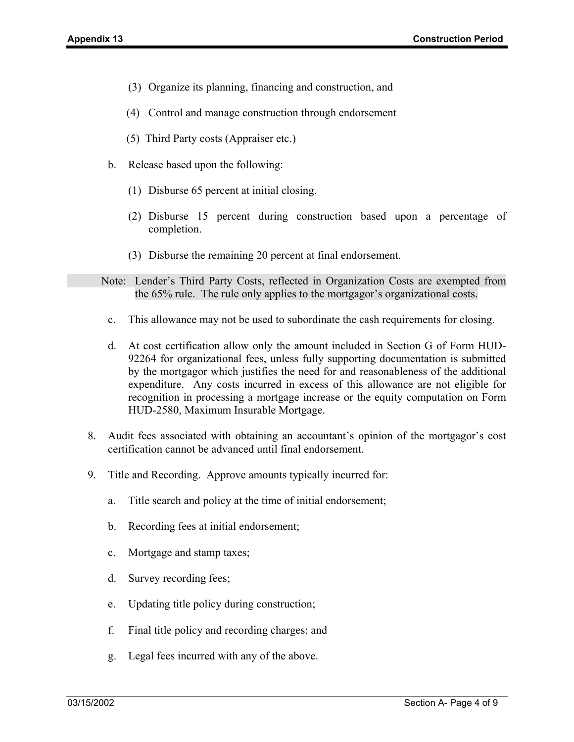- (3) Organize its planning, financing and construction, and
- (4) Control and manage construction through endorsement
- (5) Third Party costs (Appraiser etc.)
- b. Release based upon the following:
	- (1) Disburse 65 percent at initial closing.
	- (2) Disburse 15 percent during construction based upon a percentage of completion.
	- (3) Disburse the remaining 20 percent at final endorsement.
- Note: Lender's Third Party Costs, reflected in Organization Costs are exempted from the 65% rule. The rule only applies to the mortgagor's organizational costs.
	- c. This allowance may not be used to subordinate the cash requirements for closing.
	- d. At cost certification allow only the amount included in Section G of Form HUD-92264 for organizational fees, unless fully supporting documentation is submitted by the mortgagor which justifies the need for and reasonableness of the additional expenditure. Any costs incurred in excess of this allowance are not eligible for recognition in processing a mortgage increase or the equity computation on Form HUD-2580, Maximum Insurable Mortgage.
- 8. Audit fees associated with obtaining an accountant's opinion of the mortgagor's cost certification cannot be advanced until final endorsement.
- 9. Title and Recording. Approve amounts typically incurred for:
	- a. Title search and policy at the time of initial endorsement;
	- b. Recording fees at initial endorsement;
	- c. Mortgage and stamp taxes;
	- d. Survey recording fees;
	- e. Updating title policy during construction;
	- f. Final title policy and recording charges; and
	- g. Legal fees incurred with any of the above.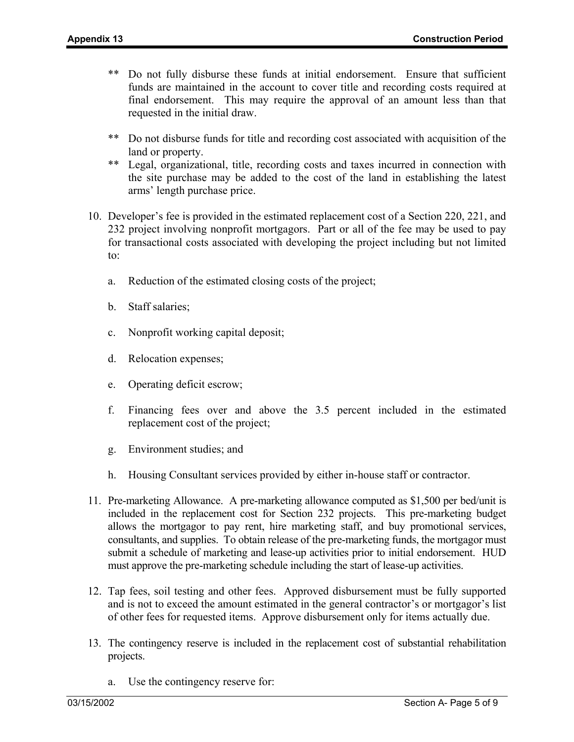- \*\* Do not fully disburse these funds at initial endorsement. Ensure that sufficient funds are maintained in the account to cover title and recording costs required at final endorsement. This may require the approval of an amount less than that requested in the initial draw.
- \*\* Do not disburse funds for title and recording cost associated with acquisition of the land or property.
- \*\* Legal, organizational, title, recording costs and taxes incurred in connection with the site purchase may be added to the cost of the land in establishing the latest arms' length purchase price.
- 10. Developer's fee is provided in the estimated replacement cost of a Section 220, 221, and 232 project involving nonprofit mortgagors. Part or all of the fee may be used to pay for transactional costs associated with developing the project including but not limited to:
	- a. Reduction of the estimated closing costs of the project;
	- b. Staff salaries;
	- c. Nonprofit working capital deposit;
	- d. Relocation expenses;
	- e. Operating deficit escrow;
	- f. Financing fees over and above the 3.5 percent included in the estimated replacement cost of the project;
	- g. Environment studies; and
	- h. Housing Consultant services provided by either in-house staff or contractor.
- 11. Pre-marketing Allowance. A pre-marketing allowance computed as \$1,500 per bed/unit is included in the replacement cost for Section 232 projects. This pre-marketing budget allows the mortgagor to pay rent, hire marketing staff, and buy promotional services, consultants, and supplies. To obtain release of the pre-marketing funds, the mortgagor must submit a schedule of marketing and lease-up activities prior to initial endorsement. HUD must approve the pre-marketing schedule including the start of lease-up activities.
- 12. Tap fees, soil testing and other fees. Approved disbursement must be fully supported and is not to exceed the amount estimated in the general contractor's or mortgagor's list of other fees for requested items. Approve disbursement only for items actually due.
- 13. The contingency reserve is included in the replacement cost of substantial rehabilitation projects.
	- a. Use the contingency reserve for: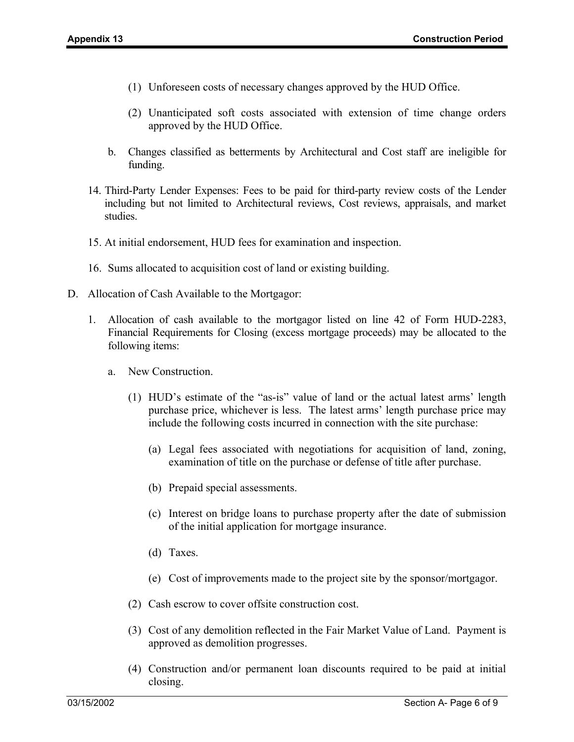- (1) Unforeseen costs of necessary changes approved by the HUD Office.
- (2) Unanticipated soft costs associated with extension of time change orders approved by the HUD Office.
- b. Changes classified as betterments by Architectural and Cost staff are ineligible for funding.
- 14. Third-Party Lender Expenses: Fees to be paid for third-party review costs of the Lender including but not limited to Architectural reviews, Cost reviews, appraisals, and market studies.
- 15. At initial endorsement, HUD fees for examination and inspection.
- 16. Sums allocated to acquisition cost of land or existing building.
- D. Allocation of Cash Available to the Mortgagor:
	- 1. Allocation of cash available to the mortgagor listed on line 42 of Form HUD-2283, Financial Requirements for Closing (excess mortgage proceeds) may be allocated to the following items:
		- a. New Construction.
			- (1) HUD's estimate of the "as-is" value of land or the actual latest arms' length purchase price, whichever is less. The latest arms' length purchase price may include the following costs incurred in connection with the site purchase:
				- (a) Legal fees associated with negotiations for acquisition of land, zoning, examination of title on the purchase or defense of title after purchase.
				- (b) Prepaid special assessments.
				- (c) Interest on bridge loans to purchase property after the date of submission of the initial application for mortgage insurance.
				- (d) Taxes.
				- (e) Cost of improvements made to the project site by the sponsor/mortgagor.
			- (2) Cash escrow to cover offsite construction cost.
			- (3) Cost of any demolition reflected in the Fair Market Value of Land. Payment is approved as demolition progresses.
			- (4) Construction and/or permanent loan discounts required to be paid at initial closing.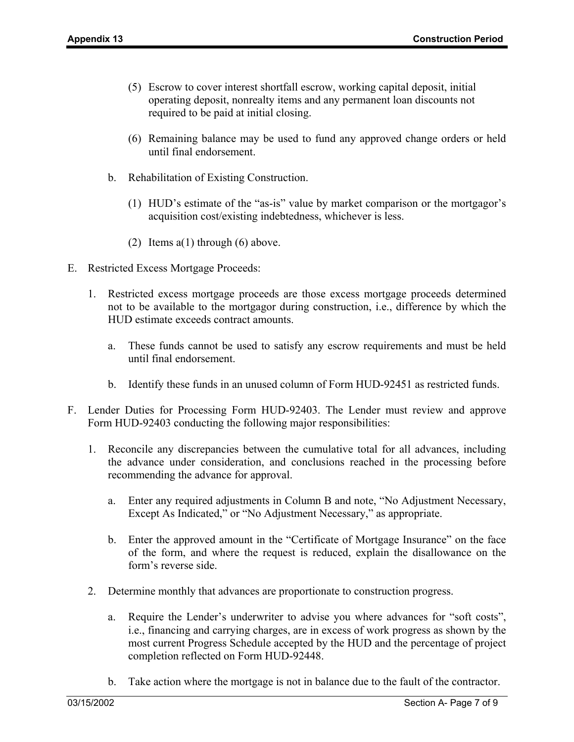- (5) Escrow to cover interest shortfall escrow, working capital deposit, initial operating deposit, nonrealty items and any permanent loan discounts not required to be paid at initial closing.
- (6) Remaining balance may be used to fund any approved change orders or held until final endorsement.
- b. Rehabilitation of Existing Construction.
	- (1) HUD's estimate of the "as-is" value by market comparison or the mortgagor's acquisition cost/existing indebtedness, whichever is less.
	- (2) Items a(1) through (6) above.
- E. Restricted Excess Mortgage Proceeds:
	- 1. Restricted excess mortgage proceeds are those excess mortgage proceeds determined not to be available to the mortgagor during construction, i.e., difference by which the HUD estimate exceeds contract amounts.
		- a. These funds cannot be used to satisfy any escrow requirements and must be held until final endorsement.
		- b. Identify these funds in an unused column of Form HUD-92451 as restricted funds.
- F. Lender Duties for Processing Form HUD-92403. The Lender must review and approve Form HUD-92403 conducting the following major responsibilities:
	- 1. Reconcile any discrepancies between the cumulative total for all advances, including the advance under consideration, and conclusions reached in the processing before recommending the advance for approval.
		- a. Enter any required adjustments in Column B and note, "No Adjustment Necessary, Except As Indicated," or "No Adjustment Necessary," as appropriate.
		- b. Enter the approved amount in the "Certificate of Mortgage Insurance" on the face of the form, and where the request is reduced, explain the disallowance on the form's reverse side.
	- 2. Determine monthly that advances are proportionate to construction progress.
		- a. Require the Lender's underwriter to advise you where advances for "soft costs", i.e., financing and carrying charges, are in excess of work progress as shown by the most current Progress Schedule accepted by the HUD and the percentage of project completion reflected on Form HUD-92448.
		- b. Take action where the mortgage is not in balance due to the fault of the contractor.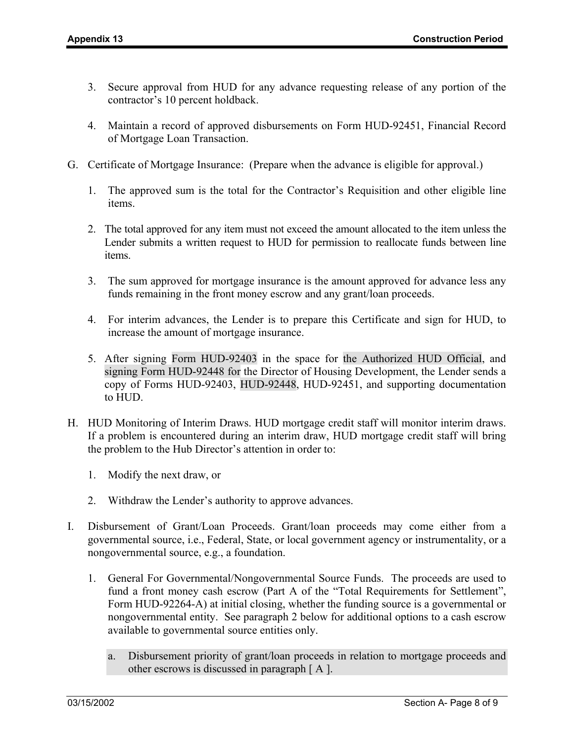- 3. Secure approval from HUD for any advance requesting release of any portion of the contractor's 10 percent holdback.
- 4. Maintain a record of approved disbursements on Form HUD-92451, Financial Record of Mortgage Loan Transaction.
- G. Certificate of Mortgage Insurance: (Prepare when the advance is eligible for approval.)
	- 1. The approved sum is the total for the Contractor's Requisition and other eligible line items.
	- 2. The total approved for any item must not exceed the amount allocated to the item unless the Lender submits a written request to HUD for permission to reallocate funds between line items.
	- 3. The sum approved for mortgage insurance is the amount approved for advance less any funds remaining in the front money escrow and any grant/loan proceeds.
	- 4. For interim advances, the Lender is to prepare this Certificate and sign for HUD, to increase the amount of mortgage insurance.
	- 5. After signing Form HUD-92403 in the space for the Authorized HUD Official, and signing Form HUD-92448 for the Director of Housing Development, the Lender sends a copy of Forms HUD-92403, HUD-92448, HUD-92451, and supporting documentation to HUD.
- H. HUD Monitoring of Interim Draws. HUD mortgage credit staff will monitor interim draws. If a problem is encountered during an interim draw, HUD mortgage credit staff will bring the problem to the Hub Director's attention in order to:
	- 1. Modify the next draw, or
	- 2. Withdraw the Lender's authority to approve advances.
- I. Disbursement of Grant/Loan Proceeds. Grant/loan proceeds may come either from a governmental source, i.e., Federal, State, or local government agency or instrumentality, or a nongovernmental source, e.g., a foundation.
	- 1. General For Governmental/Nongovernmental Source Funds. The proceeds are used to fund a front money cash escrow (Part A of the "Total Requirements for Settlement", Form HUD-92264-A) at initial closing, whether the funding source is a governmental or nongovernmental entity. See paragraph 2 below for additional options to a cash escrow available to governmental source entities only.
		- a. Disbursement priority of grant/loan proceeds in relation to mortgage proceeds and other escrows is discussed in paragraph [ A ].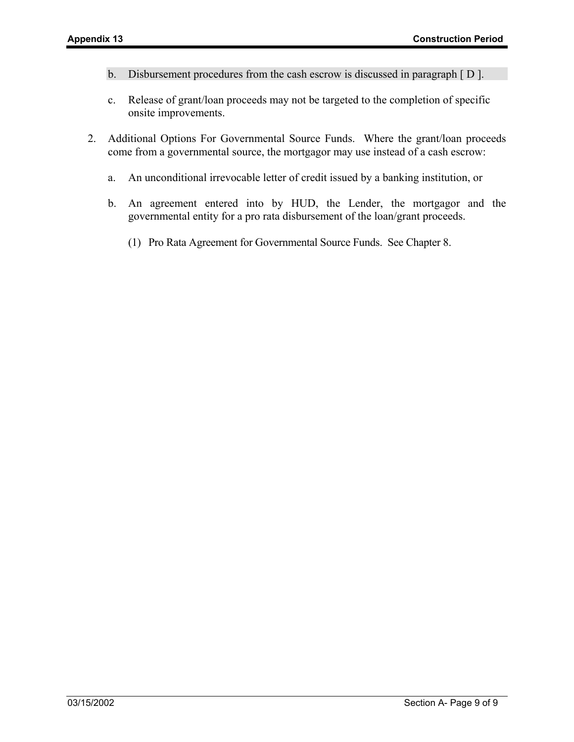- b. Disbursement procedures from the cash escrow is discussed in paragraph [ D ].
- c. Release of grant/loan proceeds may not be targeted to the completion of specific onsite improvements.
- 2. Additional Options For Governmental Source Funds. Where the grant/loan proceeds come from a governmental source, the mortgagor may use instead of a cash escrow:
	- a. An unconditional irrevocable letter of credit issued by a banking institution, or
	- b. An agreement entered into by HUD, the Lender, the mortgagor and the governmental entity for a pro rata disbursement of the loan/grant proceeds.
		- (1) Pro Rata Agreement for Governmental Source Funds. See Chapter 8.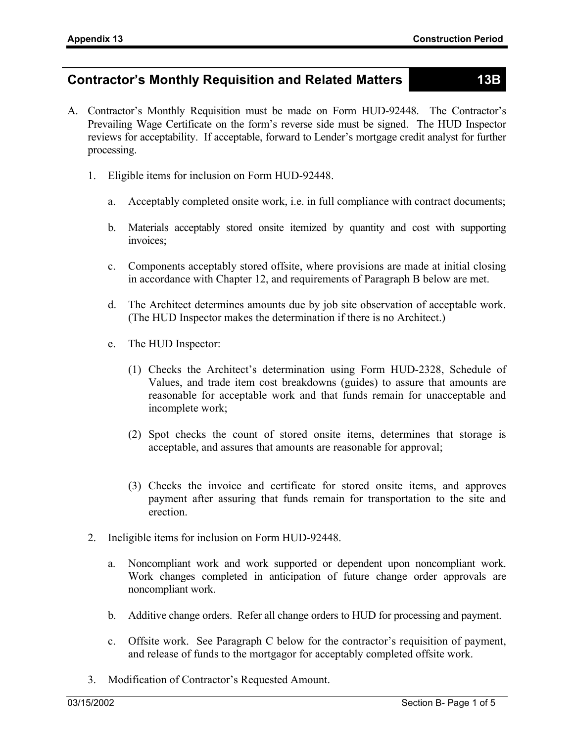#### **Contractor's Monthly Requisition and Related Matters 13B**

- A. Contractor's Monthly Requisition must be made on Form HUD-92448. The Contractor's Prevailing Wage Certificate on the form's reverse side must be signed. The HUD Inspector reviews for acceptability. If acceptable, forward to Lender's mortgage credit analyst for further processing.
	- 1. Eligible items for inclusion on Form HUD-92448.
		- a. Acceptably completed onsite work, i.e. in full compliance with contract documents;
		- b. Materials acceptably stored onsite itemized by quantity and cost with supporting invoices;
		- c. Components acceptably stored offsite, where provisions are made at initial closing in accordance with Chapter 12, and requirements of Paragraph B below are met.
		- d. The Architect determines amounts due by job site observation of acceptable work. (The HUD Inspector makes the determination if there is no Architect.)
		- e. The HUD Inspector:
			- (1) Checks the Architect's determination using Form HUD-2328, Schedule of Values, and trade item cost breakdowns (guides) to assure that amounts are reasonable for acceptable work and that funds remain for unacceptable and incomplete work;
			- (2) Spot checks the count of stored onsite items, determines that storage is acceptable, and assures that amounts are reasonable for approval;
			- (3) Checks the invoice and certificate for stored onsite items, and approves payment after assuring that funds remain for transportation to the site and erection.
	- 2. Ineligible items for inclusion on Form HUD-92448.
		- a. Noncompliant work and work supported or dependent upon noncompliant work. Work changes completed in anticipation of future change order approvals are noncompliant work.
		- b. Additive change orders. Refer all change orders to HUD for processing and payment.
		- c. Offsite work. See Paragraph C below for the contractor's requisition of payment, and release of funds to the mortgagor for acceptably completed offsite work.
	- 3. Modification of Contractor's Requested Amount.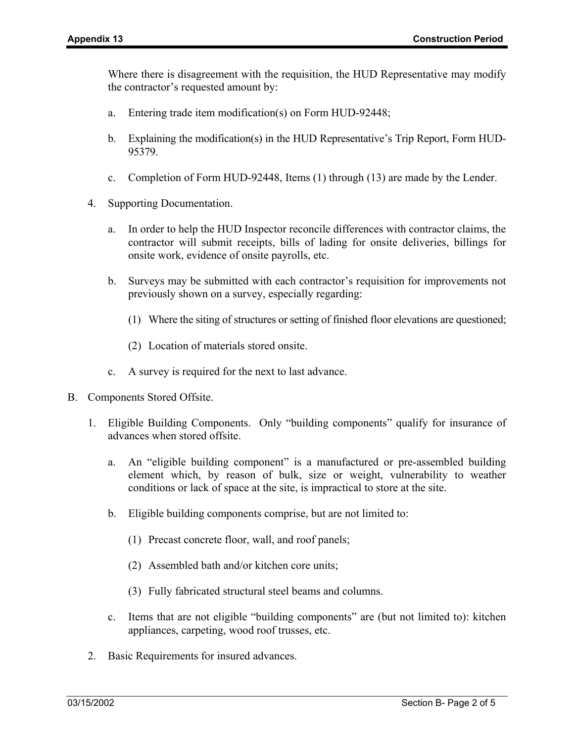Where there is disagreement with the requisition, the HUD Representative may modify the contractor's requested amount by:

- a. Entering trade item modification(s) on Form HUD-92448;
- b. Explaining the modification(s) in the HUD Representative's Trip Report, Form HUD-95379.
- c. Completion of Form HUD-92448, Items (1) through (13) are made by the Lender.
- 4. Supporting Documentation.
	- a. In order to help the HUD Inspector reconcile differences with contractor claims, the contractor will submit receipts, bills of lading for onsite deliveries, billings for onsite work, evidence of onsite payrolls, etc.
	- b. Surveys may be submitted with each contractor's requisition for improvements not previously shown on a survey, especially regarding:
		- (1) Where the siting of structures or setting of finished floor elevations are questioned;
		- (2) Location of materials stored onsite.
	- c. A survey is required for the next to last advance.
- B. Components Stored Offsite.
	- 1. Eligible Building Components. Only "building components" qualify for insurance of advances when stored offsite.
		- a. An "eligible building component" is a manufactured or pre-assembled building element which, by reason of bulk, size or weight, vulnerability to weather conditions or lack of space at the site, is impractical to store at the site.
		- b. Eligible building components comprise, but are not limited to:
			- (1) Precast concrete floor, wall, and roof panels;
			- (2) Assembled bath and/or kitchen core units;
			- (3) Fully fabricated structural steel beams and columns.
		- c. Items that are not eligible "building components" are (but not limited to): kitchen appliances, carpeting, wood roof trusses, etc.
	- 2. Basic Requirements for insured advances.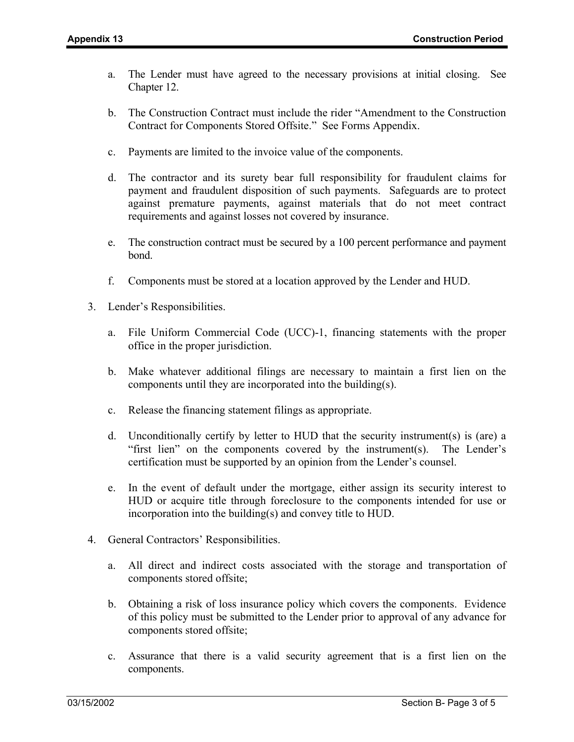- a. The Lender must have agreed to the necessary provisions at initial closing. See Chapter 12.
- b. The Construction Contract must include the rider "Amendment to the Construction Contract for Components Stored Offsite." See Forms Appendix.
- c. Payments are limited to the invoice value of the components.
- d. The contractor and its surety bear full responsibility for fraudulent claims for payment and fraudulent disposition of such payments. Safeguards are to protect against premature payments, against materials that do not meet contract requirements and against losses not covered by insurance.
- e. The construction contract must be secured by a 100 percent performance and payment bond.
- f. Components must be stored at a location approved by the Lender and HUD.
- 3. Lender's Responsibilities.
	- a. File Uniform Commercial Code (UCC)-1, financing statements with the proper office in the proper jurisdiction.
	- b. Make whatever additional filings are necessary to maintain a first lien on the components until they are incorporated into the building(s).
	- c. Release the financing statement filings as appropriate.
	- d. Unconditionally certify by letter to HUD that the security instrument(s) is (are) a "first lien" on the components covered by the instrument(s). The Lender's certification must be supported by an opinion from the Lender's counsel.
	- e. In the event of default under the mortgage, either assign its security interest to HUD or acquire title through foreclosure to the components intended for use or incorporation into the building(s) and convey title to HUD.
- 4. General Contractors' Responsibilities.
	- a. All direct and indirect costs associated with the storage and transportation of components stored offsite;
	- b. Obtaining a risk of loss insurance policy which covers the components. Evidence of this policy must be submitted to the Lender prior to approval of any advance for components stored offsite;
	- c. Assurance that there is a valid security agreement that is a first lien on the components.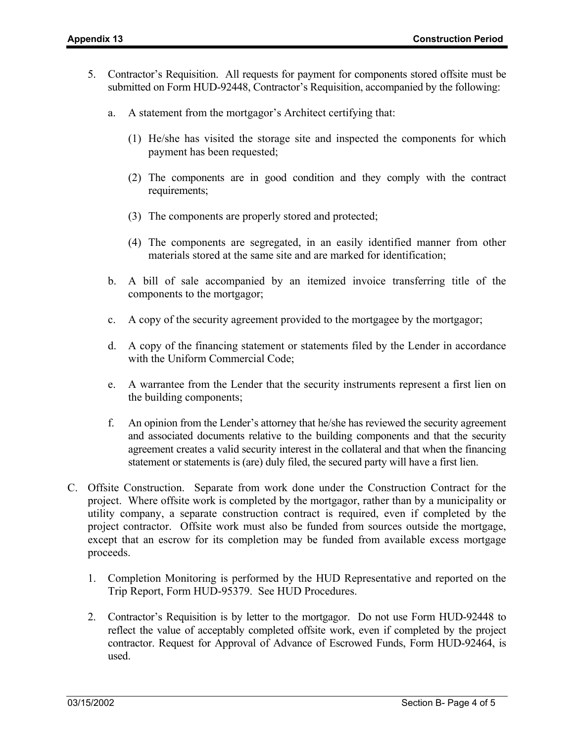- 5. Contractor's Requisition. All requests for payment for components stored offsite must be submitted on Form HUD-92448, Contractor's Requisition, accompanied by the following:
	- a. A statement from the mortgagor's Architect certifying that:
		- (1) He/she has visited the storage site and inspected the components for which payment has been requested;
		- (2) The components are in good condition and they comply with the contract requirements;
		- (3) The components are properly stored and protected;
		- (4) The components are segregated, in an easily identified manner from other materials stored at the same site and are marked for identification;
	- b. A bill of sale accompanied by an itemized invoice transferring title of the components to the mortgagor;
	- c. A copy of the security agreement provided to the mortgagee by the mortgagor;
	- d. A copy of the financing statement or statements filed by the Lender in accordance with the Uniform Commercial Code;
	- e. A warrantee from the Lender that the security instruments represent a first lien on the building components;
	- f. An opinion from the Lender's attorney that he/she has reviewed the security agreement and associated documents relative to the building components and that the security agreement creates a valid security interest in the collateral and that when the financing statement or statements is (are) duly filed, the secured party will have a first lien.
- C. Offsite Construction. Separate from work done under the Construction Contract for the project. Where offsite work is completed by the mortgagor, rather than by a municipality or utility company, a separate construction contract is required, even if completed by the project contractor. Offsite work must also be funded from sources outside the mortgage, except that an escrow for its completion may be funded from available excess mortgage proceeds.
	- 1. Completion Monitoring is performed by the HUD Representative and reported on the Trip Report, Form HUD-95379. See HUD Procedures.
	- 2. Contractor's Requisition is by letter to the mortgagor. Do not use Form HUD-92448 to reflect the value of acceptably completed offsite work, even if completed by the project contractor. Request for Approval of Advance of Escrowed Funds, Form HUD-92464, is used.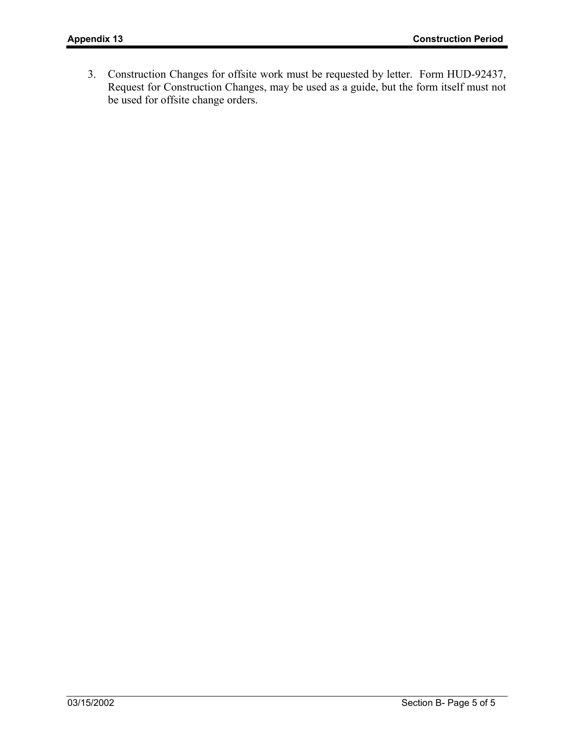3. Construction Changes for offsite work must be requested by letter. Form HUD-92437, Request for Construction Changes, may be used as a guide, but the form itself must not be used for offsite change orders.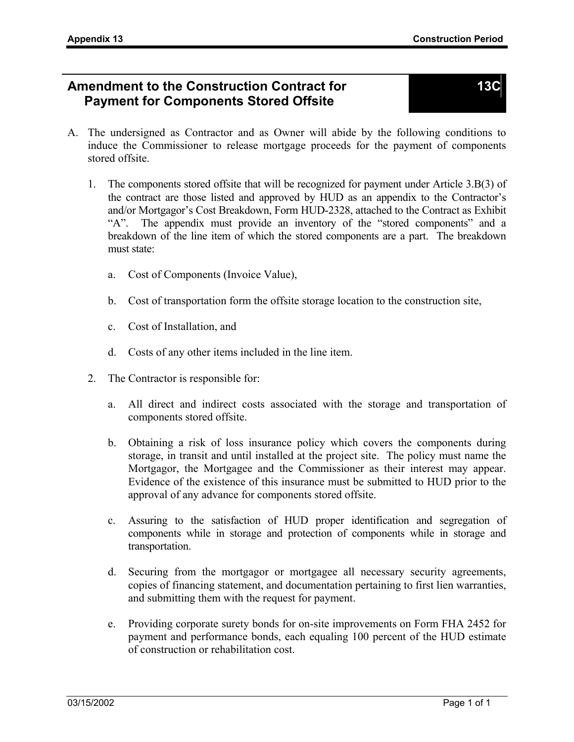#### **Amendment to the Construction Contract for Payment for Components Stored Offsite**

- A. The undersigned as Contractor and as Owner will abide by the following conditions to induce the Commissioner to release mortgage proceeds for the payment of components stored offsite.
	- 1. The components stored offsite that will be recognized for payment under Article 3.B(3) of the contract are those listed and approved by HUD as an appendix to the Contractor's and/or Mortgagor's Cost Breakdown, Form HUD-2328, attached to the Contract as Exhibit "A". The appendix must provide an inventory of the "stored components" and a breakdown of the line item of which the stored components are a part. The breakdown must state:
		- a. Cost of Components (Invoice Value),
		- b. Cost of transportation form the offsite storage location to the construction site,
		- c. Cost of Installation, and
		- d. Costs of any other items included in the line item.
	- 2. The Contractor is responsible for:
		- a. All direct and indirect costs associated with the storage and transportation of components stored offsite.
		- b. Obtaining a risk of loss insurance policy which covers the components during storage, in transit and until installed at the project site. The policy must name the Mortgagor, the Mortgagee and the Commissioner as their interest may appear. Evidence of the existence of this insurance must be submitted to HUD prior to the approval of any advance for components stored offsite.
		- c. Assuring to the satisfaction of HUD proper identification and segregation of components while in storage and protection of components while in storage and transportation.
		- d. Securing from the mortgagor or mortgagee all necessary security agreements, copies of financing statement, and documentation pertaining to first lien warranties, and submitting them with the request for payment.
		- e. Providing corporate surety bonds for on-site improvements on Form FHA 2452 for payment and performance bonds, each equaling 100 percent of the HUD estimate of construction or rehabilitation cost.

### **13C**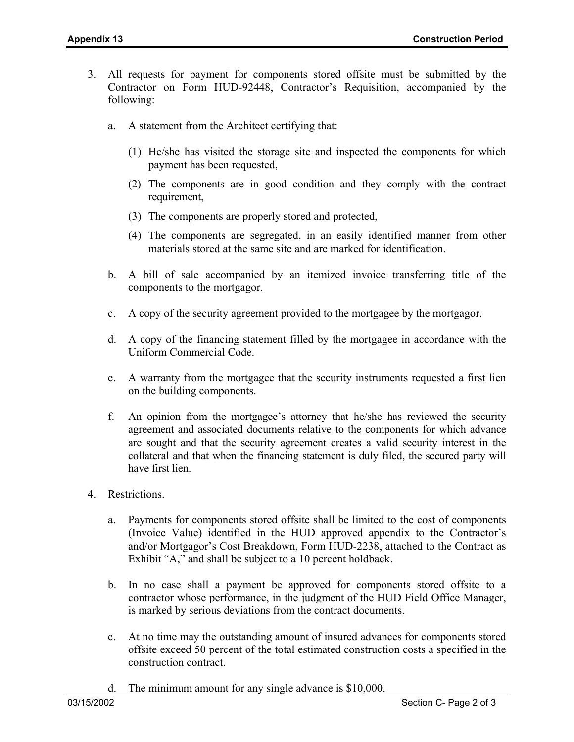- 3. All requests for payment for components stored offsite must be submitted by the Contractor on Form HUD-92448, Contractor's Requisition, accompanied by the following:
	- a. A statement from the Architect certifying that:
		- (1) He/she has visited the storage site and inspected the components for which payment has been requested,
		- (2) The components are in good condition and they comply with the contract requirement,
		- (3) The components are properly stored and protected,
		- (4) The components are segregated, in an easily identified manner from other materials stored at the same site and are marked for identification.
	- b. A bill of sale accompanied by an itemized invoice transferring title of the components to the mortgagor.
	- c. A copy of the security agreement provided to the mortgagee by the mortgagor.
	- d. A copy of the financing statement filled by the mortgagee in accordance with the Uniform Commercial Code.
	- e. A warranty from the mortgagee that the security instruments requested a first lien on the building components.
	- f. An opinion from the mortgagee's attorney that he/she has reviewed the security agreement and associated documents relative to the components for which advance are sought and that the security agreement creates a valid security interest in the collateral and that when the financing statement is duly filed, the secured party will have first lien.
- 4. Restrictions.
	- a. Payments for components stored offsite shall be limited to the cost of components (Invoice Value) identified in the HUD approved appendix to the Contractor's and/or Mortgagor's Cost Breakdown, Form HUD-2238, attached to the Contract as Exhibit "A," and shall be subject to a 10 percent holdback.
	- b. In no case shall a payment be approved for components stored offsite to a contractor whose performance, in the judgment of the HUD Field Office Manager, is marked by serious deviations from the contract documents.
	- c. At no time may the outstanding amount of insured advances for components stored offsite exceed 50 percent of the total estimated construction costs a specified in the construction contract.
	- d. The minimum amount for any single advance is \$10,000.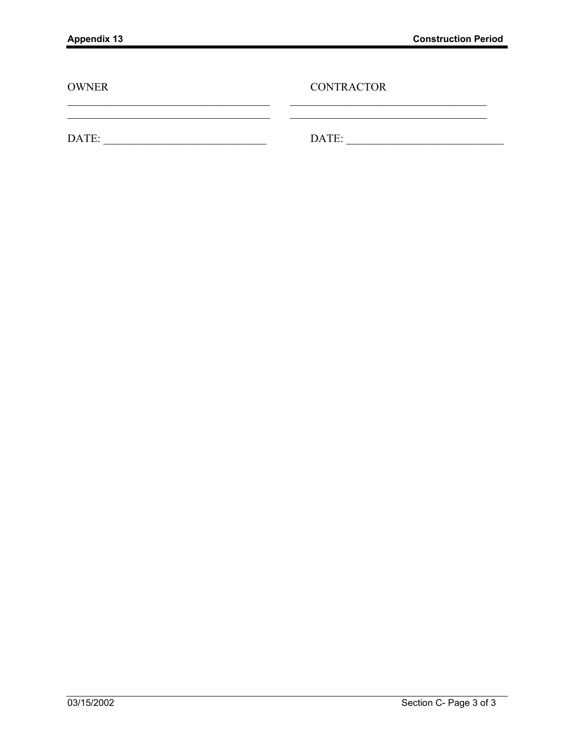| <b>OWNER</b> | <b>CONTRACTOR</b> |
|--------------|-------------------|
| DATE:        | DATE:             |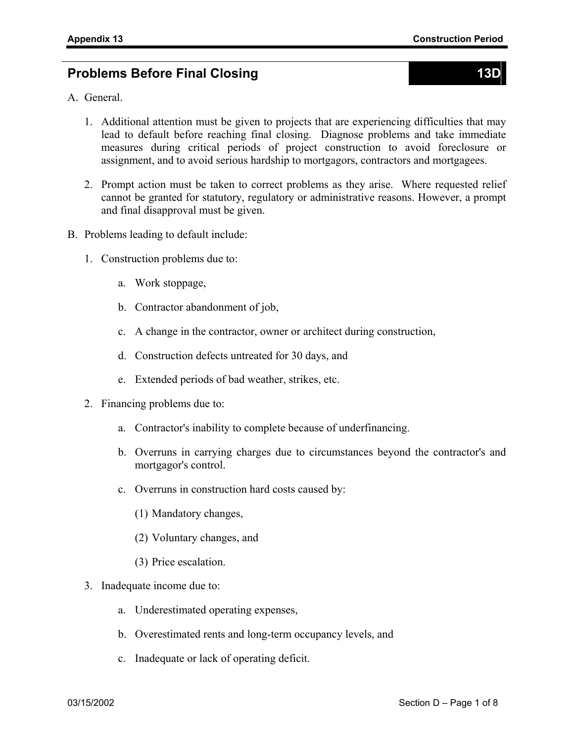## **Problems Before Final Closing 13D 13D 13D**

- A. General.
	- 1. Additional attention must be given to projects that are experiencing difficulties that may lead to default before reaching final closing. Diagnose problems and take immediate measures during critical periods of project construction to avoid foreclosure or assignment, and to avoid serious hardship to mortgagors, contractors and mortgagees.
	- 2. Prompt action must be taken to correct problems as they arise. Where requested relief cannot be granted for statutory, regulatory or administrative reasons. However, a prompt and final disapproval must be given.
- B. Problems leading to default include:
	- 1. Construction problems due to:
		- a. Work stoppage,
		- b. Contractor abandonment of job,
		- c. A change in the contractor, owner or architect during construction,
		- d. Construction defects untreated for 30 days, and
		- e. Extended periods of bad weather, strikes, etc.
	- 2. Financing problems due to:
		- a. Contractor's inability to complete because of underfinancing.
		- b. Overruns in carrying charges due to circumstances beyond the contractor's and mortgagor's control.
		- c. Overruns in construction hard costs caused by:
			- (1) Mandatory changes,
			- (2) Voluntary changes, and
			- (3) Price escalation.
	- 3. Inadequate income due to:
		- a. Underestimated operating expenses,
		- b. Overestimated rents and long-term occupancy levels, and
		- c. Inadequate or lack of operating deficit.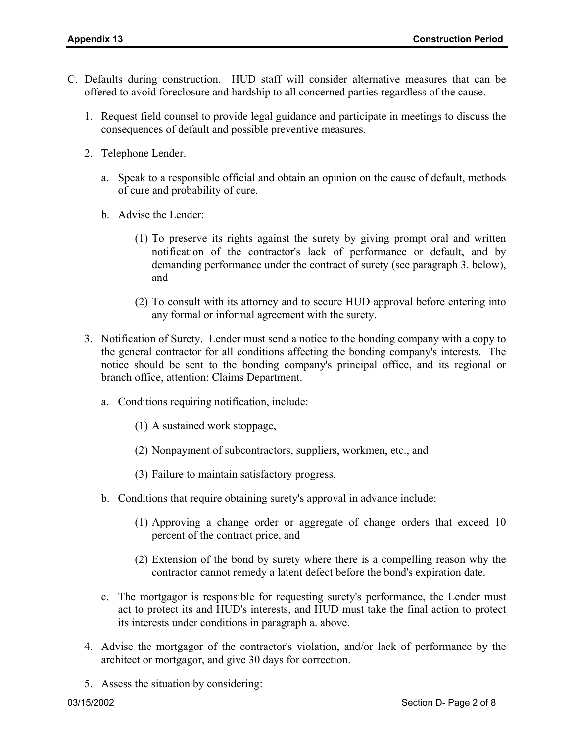- C. Defaults during construction. HUD staff will consider alternative measures that can be offered to avoid foreclosure and hardship to all concerned parties regardless of the cause.
	- 1. Request field counsel to provide legal guidance and participate in meetings to discuss the consequences of default and possible preventive measures.
	- 2. Telephone Lender.
		- a. Speak to a responsible official and obtain an opinion on the cause of default, methods of cure and probability of cure.
		- b. Advise the Lender:
			- (1) To preserve its rights against the surety by giving prompt oral and written notification of the contractor's lack of performance or default, and by demanding performance under the contract of surety (see paragraph 3. below), and
			- (2) To consult with its attorney and to secure HUD approval before entering into any formal or informal agreement with the surety.
	- 3. Notification of Surety. Lender must send a notice to the bonding company with a copy to the general contractor for all conditions affecting the bonding company's interests. The notice should be sent to the bonding company's principal office, and its regional or branch office, attention: Claims Department.
		- a. Conditions requiring notification, include:
			- (1) A sustained work stoppage,
			- (2) Nonpayment of subcontractors, suppliers, workmen, etc., and
			- (3) Failure to maintain satisfactory progress.
		- b. Conditions that require obtaining surety's approval in advance include:
			- (1) Approving a change order or aggregate of change orders that exceed 10 percent of the contract price, and
			- (2) Extension of the bond by surety where there is a compelling reason why the contractor cannot remedy a latent defect before the bond's expiration date.
		- c. The mortgagor is responsible for requesting surety's performance, the Lender must act to protect its and HUD's interests, and HUD must take the final action to protect its interests under conditions in paragraph a. above.
	- 4. Advise the mortgagor of the contractor's violation, and/or lack of performance by the architect or mortgagor, and give 30 days for correction.
	- 5. Assess the situation by considering: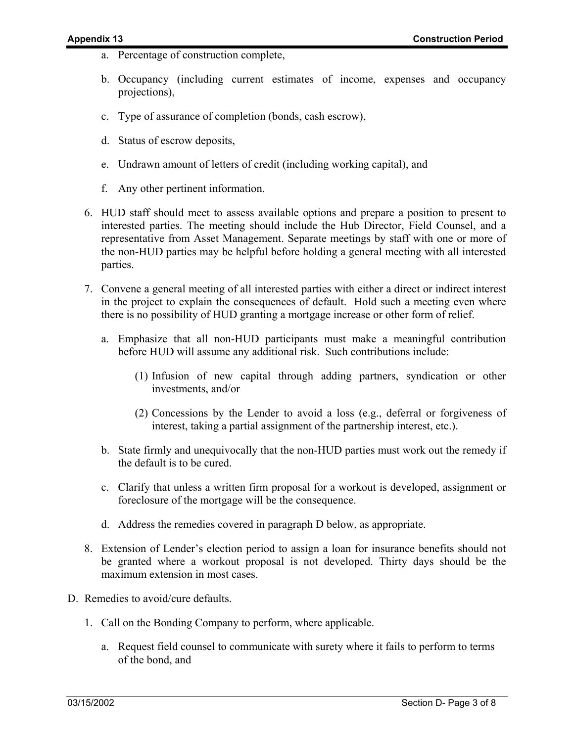- a. Percentage of construction complete,
- b. Occupancy (including current estimates of income, expenses and occupancy projections),
- c. Type of assurance of completion (bonds, cash escrow),
- d. Status of escrow deposits,
- e. Undrawn amount of letters of credit (including working capital), and
- f. Any other pertinent information.
- 6. HUD staff should meet to assess available options and prepare a position to present to interested parties. The meeting should include the Hub Director, Field Counsel, and a representative from Asset Management. Separate meetings by staff with one or more of the non-HUD parties may be helpful before holding a general meeting with all interested parties.
- 7. Convene a general meeting of all interested parties with either a direct or indirect interest in the project to explain the consequences of default. Hold such a meeting even where there is no possibility of HUD granting a mortgage increase or other form of relief.
	- a. Emphasize that all non-HUD participants must make a meaningful contribution before HUD will assume any additional risk. Such contributions include:
		- (1) Infusion of new capital through adding partners, syndication or other investments, and/or
		- (2) Concessions by the Lender to avoid a loss (e.g., deferral or forgiveness of interest, taking a partial assignment of the partnership interest, etc.).
	- b. State firmly and unequivocally that the non-HUD parties must work out the remedy if the default is to be cured.
	- c. Clarify that unless a written firm proposal for a workout is developed, assignment or foreclosure of the mortgage will be the consequence.
	- d. Address the remedies covered in paragraph D below, as appropriate.
- 8. Extension of Lender's election period to assign a loan for insurance benefits should not be granted where a workout proposal is not developed. Thirty days should be the maximum extension in most cases.
- D. Remedies to avoid/cure defaults.
	- 1. Call on the Bonding Company to perform, where applicable.
		- a. Request field counsel to communicate with surety where it fails to perform to terms of the bond, and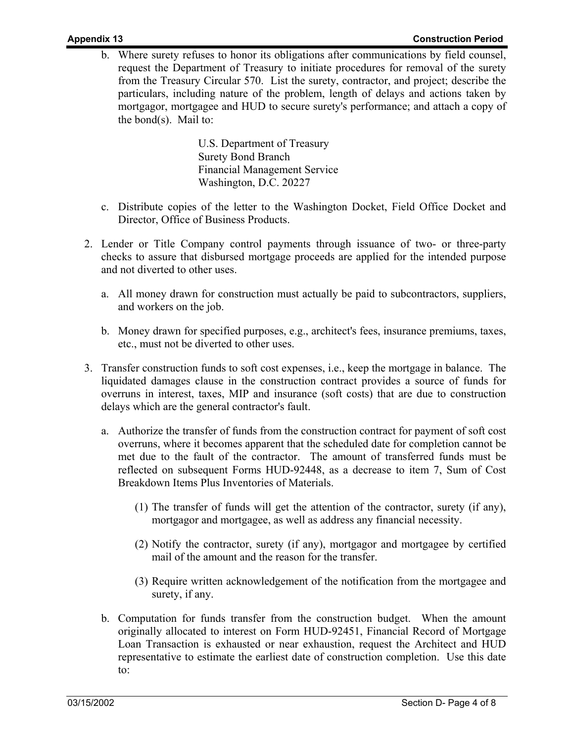b. Where surety refuses to honor its obligations after communications by field counsel, request the Department of Treasury to initiate procedures for removal of the surety from the Treasury Circular 570. List the surety, contractor, and project; describe the particulars, including nature of the problem, length of delays and actions taken by mortgagor, mortgagee and HUD to secure surety's performance; and attach a copy of the bond(s). Mail to:

> U.S. Department of Treasury Surety Bond Branch Financial Management Service Washington, D.C. 20227

- c. Distribute copies of the letter to the Washington Docket, Field Office Docket and Director, Office of Business Products.
- 2. Lender or Title Company control payments through issuance of two- or three-party checks to assure that disbursed mortgage proceeds are applied for the intended purpose and not diverted to other uses.
	- a. All money drawn for construction must actually be paid to subcontractors, suppliers, and workers on the job.
	- b. Money drawn for specified purposes, e.g., architect's fees, insurance premiums, taxes, etc., must not be diverted to other uses.
- 3. Transfer construction funds to soft cost expenses, i.e., keep the mortgage in balance. The liquidated damages clause in the construction contract provides a source of funds for overruns in interest, taxes, MIP and insurance (soft costs) that are due to construction delays which are the general contractor's fault.
	- a. Authorize the transfer of funds from the construction contract for payment of soft cost overruns, where it becomes apparent that the scheduled date for completion cannot be met due to the fault of the contractor. The amount of transferred funds must be reflected on subsequent Forms HUD-92448, as a decrease to item 7, Sum of Cost Breakdown Items Plus Inventories of Materials.
		- (1) The transfer of funds will get the attention of the contractor, surety (if any), mortgagor and mortgagee, as well as address any financial necessity.
		- (2) Notify the contractor, surety (if any), mortgagor and mortgagee by certified mail of the amount and the reason for the transfer.
		- (3) Require written acknowledgement of the notification from the mortgagee and surety, if any.
	- b. Computation for funds transfer from the construction budget. When the amount originally allocated to interest on Form HUD-92451, Financial Record of Mortgage Loan Transaction is exhausted or near exhaustion, request the Architect and HUD representative to estimate the earliest date of construction completion. Use this date to: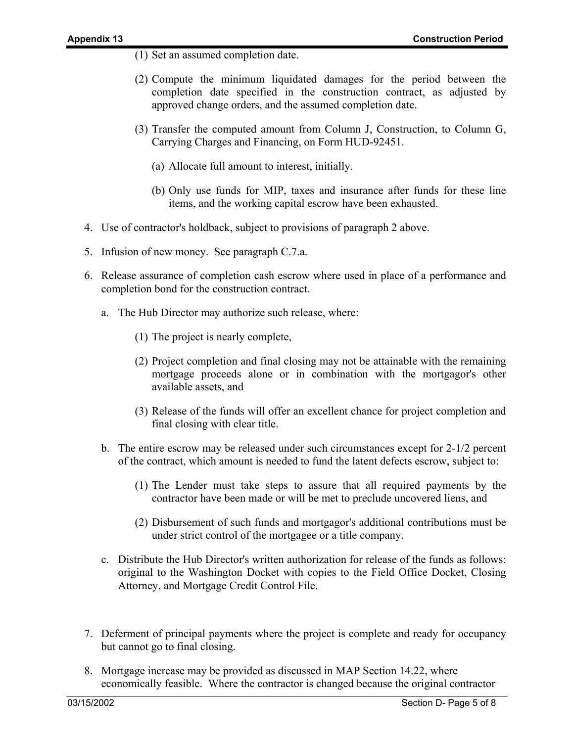- (1) Set an assumed completion date.
- (2) Compute the minimum liquidated damages for the period between the completion date specified in the construction contract, as adjusted by approved change orders, and the assumed completion date.
- (3) Transfer the computed amount from Column J, Construction, to Column G, Carrying Charges and Financing, on Form HUD-92451.
	- (a) Allocate full amount to interest, initially.
	- (b) Only use funds for MIP, taxes and insurance after funds for these line items, and the working capital escrow have been exhausted.
- 4. Use of contractor's holdback, subject to provisions of paragraph 2 above.
- 5. Infusion of new money. See paragraph C.7.a.
- 6. Release assurance of completion cash escrow where used in place of a performance and completion bond for the construction contract.
	- a. The Hub Director may authorize such release, where:
		- (1) The project is nearly complete,
		- (2) Project completion and final closing may not be attainable with the remaining mortgage proceeds alone or in combination with the mortgagor's other available assets, and
		- (3) Release of the funds will offer an excellent chance for project completion and final closing with clear title.
	- b. The entire escrow may be released under such circumstances except for 2-1/2 percent of the contract, which amount is needed to fund the latent defects escrow, subject to:
		- (1) The Lender must take steps to assure that all required payments by the contractor have been made or will be met to preclude uncovered liens, and
		- (2) Disbursement of such funds and mortgagor's additional contributions must be under strict control of the mortgagee or a title company.
	- c. Distribute the Hub Director's written authorization for release of the funds as follows: original to the Washington Docket with copies to the Field Office Docket, Closing Attorney, and Mortgage Credit Control File.
- 7. Deferment of principal payments where the project is complete and ready for occupancy but cannot go to final closing.
- 8. Mortgage increase may be provided as discussed in MAP Section 14.22, where economically feasible. Where the contractor is changed because the original contractor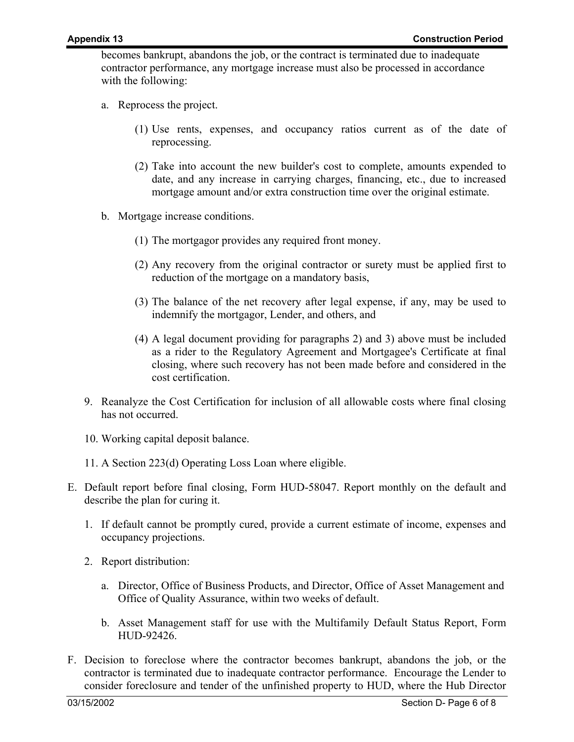becomes bankrupt, abandons the job, or the contract is terminated due to inadequate contractor performance, any mortgage increase must also be processed in accordance with the following:

- a. Reprocess the project.
	- (1) Use rents, expenses, and occupancy ratios current as of the date of reprocessing.
	- (2) Take into account the new builder's cost to complete, amounts expended to date, and any increase in carrying charges, financing, etc., due to increased mortgage amount and/or extra construction time over the original estimate.
- b. Mortgage increase conditions.
	- (1) The mortgagor provides any required front money.
	- (2) Any recovery from the original contractor or surety must be applied first to reduction of the mortgage on a mandatory basis,
	- (3) The balance of the net recovery after legal expense, if any, may be used to indemnify the mortgagor, Lender, and others, and
	- (4) A legal document providing for paragraphs 2) and 3) above must be included as a rider to the Regulatory Agreement and Mortgagee's Certificate at final closing, where such recovery has not been made before and considered in the cost certification.
- 9. Reanalyze the Cost Certification for inclusion of all allowable costs where final closing has not occurred.
- 10. Working capital deposit balance.
- 11. A Section 223(d) Operating Loss Loan where eligible.
- E. Default report before final closing, Form HUD-58047. Report monthly on the default and describe the plan for curing it.
	- 1. If default cannot be promptly cured, provide a current estimate of income, expenses and occupancy projections.
	- 2. Report distribution:
		- a. Director, Office of Business Products, and Director, Office of Asset Management and Office of Quality Assurance, within two weeks of default.
		- b. Asset Management staff for use with the Multifamily Default Status Report, Form HUD-92426.
- F. Decision to foreclose where the contractor becomes bankrupt, abandons the job, or the contractor is terminated due to inadequate contractor performance. Encourage the Lender to consider foreclosure and tender of the unfinished property to HUD, where the Hub Director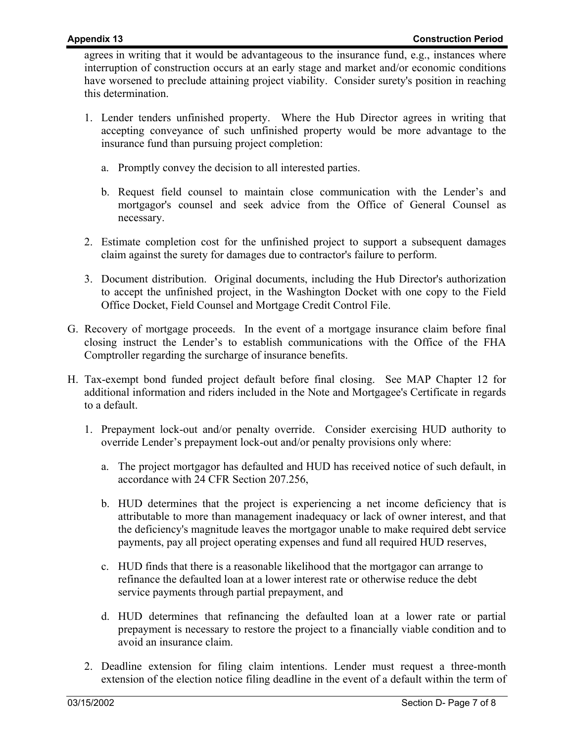agrees in writing that it would be advantageous to the insurance fund, e.g., instances where interruption of construction occurs at an early stage and market and/or economic conditions have worsened to preclude attaining project viability. Consider surety's position in reaching this determination.

- 1. Lender tenders unfinished property. Where the Hub Director agrees in writing that accepting conveyance of such unfinished property would be more advantage to the insurance fund than pursuing project completion:
	- a. Promptly convey the decision to all interested parties.
	- b. Request field counsel to maintain close communication with the Lender's and mortgagor's counsel and seek advice from the Office of General Counsel as necessary.
- 2. Estimate completion cost for the unfinished project to support a subsequent damages claim against the surety for damages due to contractor's failure to perform.
- 3. Document distribution. Original documents, including the Hub Director's authorization to accept the unfinished project, in the Washington Docket with one copy to the Field Office Docket, Field Counsel and Mortgage Credit Control File.
- G. Recovery of mortgage proceeds. In the event of a mortgage insurance claim before final closing instruct the Lender's to establish communications with the Office of the FHA Comptroller regarding the surcharge of insurance benefits.
- H. Tax-exempt bond funded project default before final closing. See MAP Chapter 12 for additional information and riders included in the Note and Mortgagee's Certificate in regards to a default.
	- 1. Prepayment lock-out and/or penalty override. Consider exercising HUD authority to override Lender's prepayment lock-out and/or penalty provisions only where:
		- a. The project mortgagor has defaulted and HUD has received notice of such default, in accordance with 24 CFR Section 207.256,
		- b. HUD determines that the project is experiencing a net income deficiency that is attributable to more than management inadequacy or lack of owner interest, and that the deficiency's magnitude leaves the mortgagor unable to make required debt service payments, pay all project operating expenses and fund all required HUD reserves,
		- c. HUD finds that there is a reasonable likelihood that the mortgagor can arrange to refinance the defaulted loan at a lower interest rate or otherwise reduce the debt service payments through partial prepayment, and
		- d. HUD determines that refinancing the defaulted loan at a lower rate or partial prepayment is necessary to restore the project to a financially viable condition and to avoid an insurance claim.
	- 2. Deadline extension for filing claim intentions. Lender must request a three-month extension of the election notice filing deadline in the event of a default within the term of